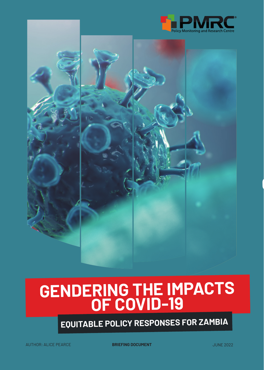



# **GENDERING THE IMPACTS OF COVID-19**

**EQUITABLE POLICY RESPONSES FOR ZAMBIA**

**BRIEFING DOCUMENT DESCRIPTION OF A SET OF A SET OF A SET OF A SET OF A SET OF A SET OF A SET OF A SET OF A SET OF A SET OF A SET OF A SET OF A SET OF A SET OF A SET OF A SET OF A SET OF A SET OF A SET OF A SET OF A SET** 

 $\mathbf{G}$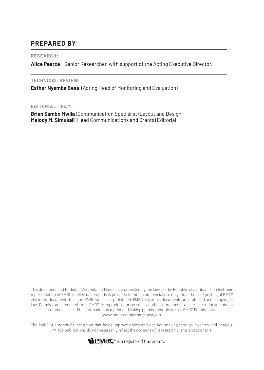#### **PREPARED BY:**

#### **RESEARCH:**

**Alice Pearce** - Senior Researcher with support of the Acting Executive Director.

#### **TECHNICAL REVIEW:**

**Esther Nyemba Besa** (Acting Head of Monitoring and Evaluation)

#### **EDITORIAL TEAM:**

**Brian Sambo Mwila** (Communication Specialist) Layout and Design **Melody M. Simukali** (Head Communications and Grants) Editorial

This document and trademark(s) contained herein are protected by the laws of The Republic of Zambia. This electronic representation of PMRC intellectual property is provided for non- commercial use only. Unauthorized posting of PMRC electronic documents to a non-PMRC website is prohibited. PMRC electronic documents are protected under copyright law. Permission is required from PMRC to reproduce, or reuse in another form, any of our research documents for commercial use. For information on reprint and linking permissions, please see PMRC Permissions. (www.pmrczambia.com/copyright).

The PMRC is a nonprofit institution that helps improve policy and decision-making through research and analysis. PMRC's publications do not necessarily reflect the opinions of its research clients and sponsors.

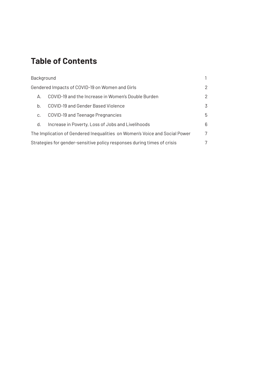### **Table of Contents**

| Background                                                                 |                                                    | 1 |
|----------------------------------------------------------------------------|----------------------------------------------------|---|
| Gendered Impacts of COVID-19 on Women and Girls                            |                                                    | 2 |
| А.                                                                         | COVID-19 and the Increase in Women's Double Burden | 2 |
| b.                                                                         | COVID-19 and Gender Based Violence                 | 3 |
| C.                                                                         | COVID-19 and Teenage Pregnancies                   | 5 |
| d.                                                                         | Increase in Poverty, Loss of Jobs and Livelihoods  | 6 |
| The Implication of Gendered Inequalities on Women's Voice and Social Power |                                                    | 7 |
| Strategies for gender-sensitive policy responses during times of crisis    |                                                    | 7 |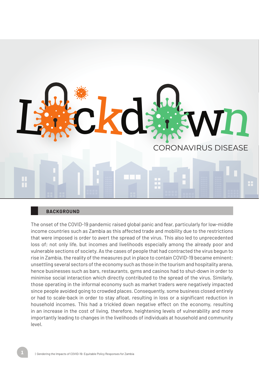

#### **BACKGROUND**

The onset of the COVID-19 pandemic raised global panic and fear, particularly for low-middle income countries such as Zambia as this affected trade and mobility due to the restrictions that were imposed is order to avert the spread of the virus. This also led to unprecedented loss of; not only life, but incomes and livelihoods especially among the already poor and vulnerable sections of society. As the cases of people that had contracted the virus begun to rise in Zambia, the reality of the measures put in place to contain COVID-19 became eminent; unsettling several sectors of the economy such as those in the tourism and hospitality arena, hence businesses such as bars, restaurants, gyms and casinos had to shut-down in order to minimise social interaction which directly contributed to the spread of the virus. Similarly, those operating in the informal economy such as market traders were negatively impacted since people avoided going to crowded places. Consequently, some business closed entirely or had to scale-back in order to stay afloat, resulting in loss or a significant reduction in household incomes. This had a trickled down negative effect on the economy, resulting in an increase in the cost of living, therefore, heightening levels of vulnerability and more importantly leading to changes in the livelihoods of individuals at household and community level.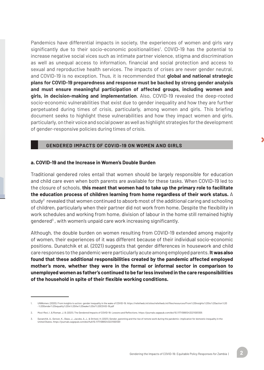Pandemics have differential impacts in society, the experiences of women and girls vary significantly due to their socio-economic positionalities<sup>1</sup>. COVID-19 has the potential to increase negative social vices such as intimate partner violence, stigma and discrimination as well as unequal access to information, financial and social protection and access to sexual and reproductive health services. The impacts of crises are never gender neutral, and COVID-19 is no exception. Thus, it is recommended that **global and national strategic plans for COVID-19 preparedness and response must be backed by strong gender analysis and must ensure meaningful participation of affected groups, including women and girls, in decision-making and implementation**. Also, COVID-19 revealed the deep-rooted socio-economic vulnerabilities that exist due to gender inequality and how they are further perpetuated during times of crisis, particularly, among women and girls. This briefing document seeks to highlight these vulnerabilities and how they impact women and girls, particularly, on their voice and social power as well as highlight strategies for the development of gender-responsive policies during times of crisis.

#### **GENDERED IMPACTS OF COVID-19 ON WOMEN AND GIRLS**

#### **a. COVID-19 and the Increase in Women's Double Burden**

Traditional gendered roles entail that women should be largely responsible for education and child care even when both parents are available for these tasks. When COVID-19 led to the closure of schools, **this meant that women had to take up the primary role to facilitate the education process of children learning from home regardless of their work status.** A study $^2$  revealed that women continued to absorb most of the additional caring and schooling of children, particularly when their partner did not work from home. Despite the flexibility in work schedules and working from home, division of labour in the home still remained highly gendered<sup>3</sup>, with women's unpaid care work increasing significantly.

Although, the double burden on women resulting from COVID-19 extended among majority of women, their experiences of it was different because of their individual socio-economic positions. Dunatchik et al. (2021) suggests that gender differences in housework and child care responses to the pandemic were particularly acute among employed parents. **It was also found that these additional responsibilities created by the pandemic affected employed mother's more, whether they were in the formal or informal sector in comparison to unemployed women as father's continued to be far less involved in the care responsibilities of the household in spite of their flexible working conditions.**

<sup>1.</sup> UNWomen. (2020). From insights to action: gender inequality in the wake of COVID-19. https://reliefweb.int/sites/reliefweb.int/liles/resources/From%20insights%20to%20action%20<br>-%20Gender%20equality%20in%20the%20wake%20o

<sup>2.</sup> Mooi-Reci, I. & Risman, J. B. (2021). The Gendered Impacts of COVID-19: Lessons and Reflections. https://journals.sagepub.com/doi/10.1177/08912432211001305

<sup>3.</sup> Dunatchik, A., Gerson, K., Glass, J., Jacobs, A. J., & Stritzel, H. (2021). Gender, parenting and the rise of remote work during the pandemic: implication for domestic inequality in the United States. https://journals.sagepub.com/doi/full/10.1177/089124322110013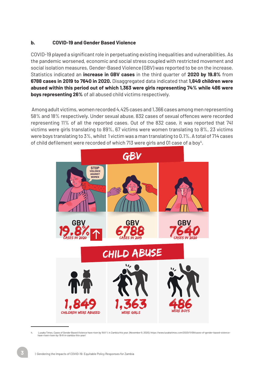#### **b. COVID-19 and Gender Based Violence**

COVID-19 played a significant role in perpetuating existing inequalities and vulnerabilities. As the pandemic worsened, economic and social stress coupled with restricted movement and social isolation measures, Gender-Based Violence (GBV) was reported to be on the increase. Statistics indicated an **increase in GBV cases** in the third quarter of **2020 by 19.8%** from **6788 cases in 2019 to 7640 in 2020.** Disaggregated data indicated that **1,849 children were abused within this period out of which 1,363 were girls representing 74% while 486 were boys representing 26%** of all abused child victims respectively.

Among adult victims, women recorded 4,425 cases and 1,366 cases among men representing 58% and 18% respectively. Under sexual abuse, 832 cases of sexual offences were recorded representing 11% of all the reported cases. Out of the 832 case, it was reported that 741 victims were girls translating to 89%, 67 victims were women translating to 8%, 23 victims were boys translating to 3%, whilst 1 victim was a man translating to 0.1%. A total of 714 cases of child defilement were recorded of which 713 were girls and 01 case of a boy $^4$ .



<sup>4.</sup> Lusaka Times. Cases of Gender Based Violence have risen by 19.8 % in Zambia this year. (November 9, 2020). https://www.lusakatimes.com/2020/11/09/cases-of-gender-based-violencehave-risen-risen-by-19-8-in-zambia-this-year/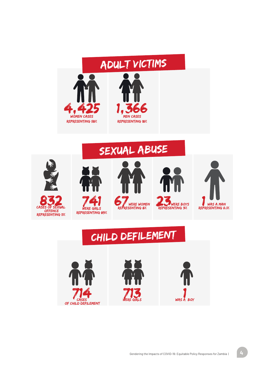

## SEXUAL ABUSE



## CHILD DEFILEMENT

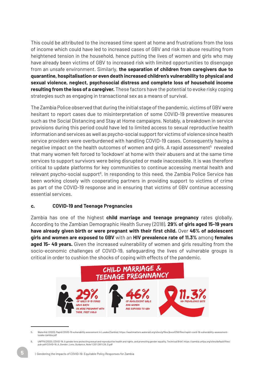This could be attributed to the increased time spent at home and frustrations from the loss of income which could have led to increased cases of GBV and risk to abuse resulting from heightened tension in the household, hence putting the lives of women and girls who may have already been victims of GBV to increased risk with limited opportunities to disengage from an unsafe environment. Similarly, **the separation of children from caregivers due to quarantine, hospitalisation or even death increased children's vulnerability to physical and sexual violence, neglect, psychosocial distress and complete loss of household income resulting from the loss of a caregiver.** These factors have the potential to evoke risky coping strategies such as engaging in transactional sex as a means of survival.

The Zambia Police observed that during the initial stage of the pandemic, victims of GBV were hesitant to report cases due to misinterpretation of some COVID-19 preventive measures such as the Social Distancing and Stay at Home campaigns. Notably, a breakdown in service provisions during this period could have led to limited access to sexual reproductive health information and services as well as psycho-social support for victims of violence since health service providers were overburdened with handling COVID-19 cases. Consequently having a negative impact on the health outcomes of women and girls. A rapid assessment<sup>5</sup> revealed that many women felt forced to 'lockdown' at home with their abusers and at the same time services to support survivors were being disrupted or made inaccessible. It is was therefore critical to update platforms for key communities to continue accessing mental health and relevant psycho-social support<sup>6</sup>. In responding to this need, the Zambia Police Service has been working closely with cooperating partners in providing support to victims of crime as part of the COVID-19 response and in ensuring that victims of GBV continue accessing essential services.

#### **c. COVID-19 and Teenage Pregnancies**

Zambia has one of the highest **child marriage and teenage pregnancy** rates globally. According to the Zambian Demographic Health Survey (2018), **29% of girls aged 15-19 years have already given birth or were pregnant with their first child.** Over **46% of adolescent girls and women are exposed to GBV** with an **HIV prevalence rate of 11.3%** among **females aged 15- 49 years.** Given the increased vulnerability of women and girls resulting from the socio-economic challenges of COVID-19, safeguarding the lives of vulnerable groups is critical in order to cushion the shocks of coping with effects of the pandemic.



<sup>5.</sup> WaterAid. (2020). Rapid COVID-19 vulnerability assessment in Lusaka (Zambia). https://washmatters.wateraid.org/sites/g/files/jkxoof256/files/rapid-covid-19-vulnerability-assessmentlusaka-zambia.pdf

UNFPA (2020). COVID-19: A gender lens protecting sexual and reproductive health and rights, and promoting gender equality. Technical Brief. https://zambia.unfpa.org/sites/default/files/ pub-pdf/COVID-19\_A\_Gender\_Lens\_Guidance\_Note%20%281%29\_0.pdf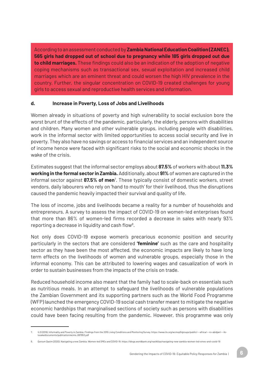According to an assessment conducted by **Zambia National Education Coalition (ZANEC), 565 girls had dropped out of school due to pregnancy while 185 girls dropped out due to child marriages.** These findings could also be an indication of the adoption of negative coping mechanisms such as transactional sex, sexual exploitation and increased child marriages which are an eminent threat and could worsen the high HIV prevalence in the country. Further, the singular concentration on COVID-19 created challenges for young girls to access sexual and reproductive health services and information.

#### **d. Increase in Poverty, Loss of Jobs and Livelihoods**

Women already in situations of poverty and high vulnerability to social exclusion bore the worst brunt of the effects of the pandemic, particularly, the elderly, persons with disabilities and children. Many women and other vulnerable groups, including people with disabilities, work in the informal sector with limited opportunities to access social security and live in poverty. They also have no savings or access to financial services and an independent source of income hence were faced with significant risks to the social and economic shocks in the wake of the crisis.

Estimates suggest that the informal sector employs about **87.5%** of workers with about **11.3% working in the formal sector in Zambia.** Additionally, about **91%** of women are captured in the informal sector against **87.5% of men**<sup>7</sup> . These typically consist of domestic workers, street vendors, daily labourers who rely on 'hand to mouth' for their livelihood, thus the disruptions caused the pandemic heavily impacted their survival and quality of life.

The loss of income, jobs and livelihoods became a reality for a number of households and entrepreneurs. A survey to assess the impact of COVID-19 on women-led enterprises found that more than 86% of women-led firms recorded a decrease in sales with nearly 93% reporting a decrease in liquidity and cash flow<sup>8</sup>.

Not only does COVID-19 expose women's precarious economic position and security particularly in the sectors that are considered **'feminine'** such as the care and hospitality sector as they have been the most affected, the economic impacts are likely to have long term effects on the livelihoods of women and vulnerable groups, especially those in the informal economy. This can be attributed to lowering wages and casualization of work in order to sustain businesses from the impacts of the crisis on trade.

Reduced household income also meant that the family had to scale-back on essentials such as nutritious meals. In an attempt to safeguard the livelihoods of vulnerable populations the Zambian Government and its supporting partners such as the World Food Programme (WFP) launched the emergency COVID-19 social cash transfer meant to mitigate the negative economic hardships that marginalised sections of society such as persons with disabilities could have been facing resulting from the pandemic. However, this programme was only

<sup>7.</sup> ILO (2019). Informality and Poverty in Zambia: Findings from the 2015 Living Conditions and Monitoring Survey. https://www.ilo.org/wcmsp5/groups/public/---africa/---ro-abidjan/---ilo-lusaka/documents/publication/wcms\_697953.pdf

<sup>8.</sup> Qursum Qasim (2020). Navigating a new Zambia: Women-led SMEs and COVID-19. https://blogs.worldbank.org/nasikiliza/navigating-new-zambia-women-led-smes-and-covid-19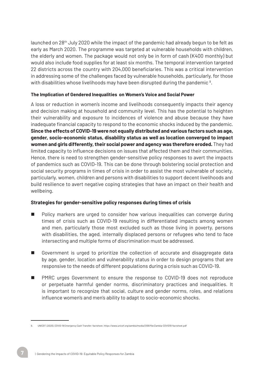launched on 28th July 2020 while the impact of the pandemic had already begun to be felt as early as March 2020. The programme was targeted at vulnerable households with children, the elderly and women. The package would not only be in form of cash (K400 monthly) but would also include food supplies for at least six months. The temporal intervention targeted 22 districts across the country with 204,000 beneficiaries. This was a critical intervention in addressing some of the challenges faced by vulnerable households, particularly, for those with disabilities whose livelihoods may have been disrupted during the pandemic  $^{\text{\tiny 9}}$ .

#### **The Implication of Gendered Inequalities on Women's Voice and Social Power**

A loss or reduction in women's income and livelihoods consequently impacts their agency and decision making at household and community level. This has the potential to heighten their vulnerability and exposure to incidences of violence and abuse because they have inadequate financial capacity to respond to the economic shocks induced by the pandemic. **Since the effects of COVID-19 were not equally distributed and various factors such as age, gender, socio-economic status, disability status as well as location converged to impact women and girls differently, their social power and agency was therefore eroded.** They had limited capacity to influence decisions on issues that affected them and their communities. Hence, there is need to strengthen gender-sensitive policy responses to avert the impacts of pandemics such as COVID-19. This can be done through bolstering social protection and social security programs in times of crisis in order to assist the most vulnerable of society, particularly, women, children and persons with disabilities to support decent livelihoods and build resilience to avert negative coping strategies that have an impact on their health and wellbeing.

#### **Strategies for gender-sensitive policy responses during times of crisis**

- Policy markers are urged to consider how various inequalities can converge during times of crisis such as COVID-19 resulting in differentiated impacts among women and men, particularly those most excluded such as those living in poverty, persons with disabilities, the aged, internally displaced persons or refugees who tend to face intersecting and multiple forms of discrimination must be addressed.
- Government is urged to prioritize the collection of accurate and disaggregate data by age, gender, location and vulnerability status in order to design programs that are responsive to the needs of different populations during a crisis such as COVID-19.
- PMRC urges Government to ensure the response to COVID-19 does not reproduce or perpetuate harmful gender norms, discriminatory practices and inequalities. It is important to recognize that social, culture and gender norms, roles, and relations influence women's and men's ability to adapt to socio-economic shocks.

<sup>9.</sup> UNICEF. (2020). COVID-19 Emergency Cash Transfer: factsheet. https://www.unicef.org/zambia/media/2106/file/Zambia-COVID19-factsheet.pdf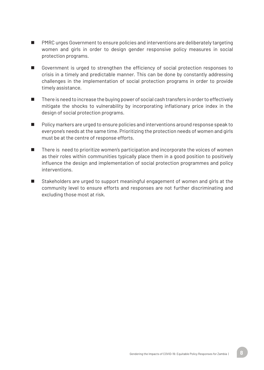- PMRC urges Government to ensure policies and interventions are deliberately targeting women and girls in order to design gender responsive policy measures in social protection programs.
- Government is urged to strengthen the efficiency of social protection responses to crisis in a timely and predictable manner. This can be done by constantly addressing challenges in the implementation of social protection programs in order to provide timely assistance.
- $\blacksquare$  There is need to increase the buying power of social cash transfers in order to effectively mitigate the shocks to vulnerability by incorporating inflationary price index in the design of social protection programs.
- n Policy markers are urged to ensure policies and interventions around response speak to everyone's needs at the same time. Prioritizing the protection needs of women and girls must be at the centre of response efforts.
- $\blacksquare$  There is need to prioritize women's participation and incorporate the voices of women as their roles within communities typically place them in a good position to positively influence the design and implementation of social protection programmes and policy interventions.
- Stakeholders are urged to support meaningful engagement of women and girls at the community level to ensure efforts and responses are not further discriminating and excluding those most at risk.